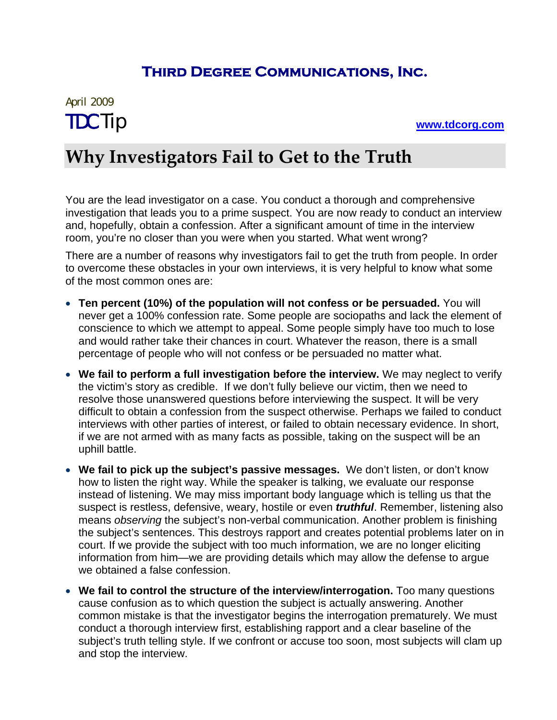## **Third Degree Communications, Inc.**

## April 2009 TDCTip **www.tdcorg.com**

## **Why Investigators Fail to Get to the Truth**

You are the lead investigator on a case. You conduct a thorough and comprehensive investigation that leads you to a prime suspect. You are now ready to conduct an interview and, hopefully, obtain a confession. After a significant amount of time in the interview room, you're no closer than you were when you started. What went wrong?

There are a number of reasons why investigators fail to get the truth from people. In order to overcome these obstacles in your own interviews, it is very helpful to know what some of the most common ones are:

- **Ten percent (10%) of the population will not confess or be persuaded.** You will never get a 100% confession rate. Some people are sociopaths and lack the element of conscience to which we attempt to appeal. Some people simply have too much to lose and would rather take their chances in court. Whatever the reason, there is a small percentage of people who will not confess or be persuaded no matter what.
- **We fail to perform a full investigation before the interview.** We may neglect to verify the victim's story as credible. If we don't fully believe our victim, then we need to resolve those unanswered questions before interviewing the suspect. It will be very difficult to obtain a confession from the suspect otherwise. Perhaps we failed to conduct interviews with other parties of interest, or failed to obtain necessary evidence. In short, if we are not armed with as many facts as possible, taking on the suspect will be an uphill battle.
- **We fail to pick up the subject's passive messages.** We don't listen, or don't know how to listen the right way. While the speaker is talking, we evaluate our response instead of listening. We may miss important body language which is telling us that the suspect is restless, defensive, weary, hostile or even *truthful*. Remember, listening also means *observing* the subject's non-verbal communication. Another problem is finishing the subject's sentences. This destroys rapport and creates potential problems later on in court. If we provide the subject with too much information, we are no longer eliciting information from him—we are providing details which may allow the defense to argue we obtained a false confession.
- **We fail to control the structure of the interview/interrogation.** Too many questions cause confusion as to which question the subject is actually answering. Another common mistake is that the investigator begins the interrogation prematurely. We must conduct a thorough interview first, establishing rapport and a clear baseline of the subject's truth telling style. If we confront or accuse too soon, most subjects will clam up and stop the interview.